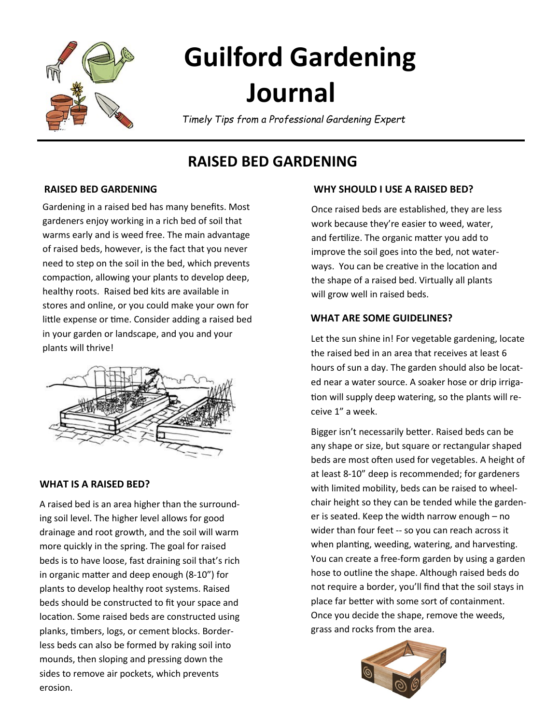

# **Guilford Gardening Journal**

*Timely Tips from a Professional Gardening Expert*

# **RAISED BED GARDENING**

## **RAISED BED GARDENING**

Gardening in a raised bed has many benefits. Most gardeners enjoy working in a rich bed of soil that warms early and is weed free. The main advantage of raised beds, however, is the fact that you never need to step on the soil in the bed, which prevents compaction, allowing your plants to develop deep, healthy roots. Raised bed kits are available in stores and online, or you could make your own for little expense or time. Consider adding a raised bed in your garden or landscape, and you and your plants will thrive!



#### **WHAT IS A RAISED BED?**

A raised bed is an area higher than the surrounding soil level. The higher level allows for good drainage and root growth, and the soil will warm more quickly in the spring. The goal for raised beds is to have loose, fast draining soil that's rich in organic matter and deep enough (8-10") for plants to develop healthy root systems. Raised beds should be constructed to fit your space and location. Some raised beds are constructed using planks, timbers, logs, or cement blocks. Borderless beds can also be formed by raking soil into mounds, then sloping and pressing down the sides to remove air pockets, which prevents erosion.

### **WHY SHOULD I USE A RAISED BED?**

Once raised beds are established, they are less work because they're easier to weed, water, and fertilize. The organic matter you add to improve the soil goes into the bed, not waterways. You can be creative in the location and the shape of a raised bed. Virtually all plants will grow well in raised beds.

#### **WHAT ARE SOME GUIDELINES?**

Let the sun shine in! For vegetable gardening, locate the raised bed in an area that receives at least 6 hours of sun a day. The garden should also be located near a water source. A soaker hose or drip irrigation will supply deep watering, so the plants will receive 1" a week.

Bigger isn't necessarily better. Raised beds can be any shape or size, but square or rectangular shaped beds are most often used for vegetables. A height of at least 8-10" deep is recommended; for gardeners with limited mobility, beds can be raised to wheelchair height so they can be tended while the gardener is seated. Keep the width narrow enough – no wider than four feet -- so you can reach across it when planting, weeding, watering, and harvesting. You can create a free-form garden by using a garden hose to outline the shape. Although raised beds do not require a border, you'll find that the soil stays in place far better with some sort of containment. Once you decide the shape, remove the weeds, grass and rocks from the area.